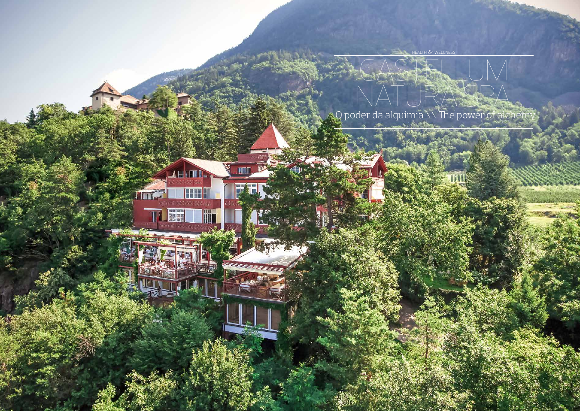